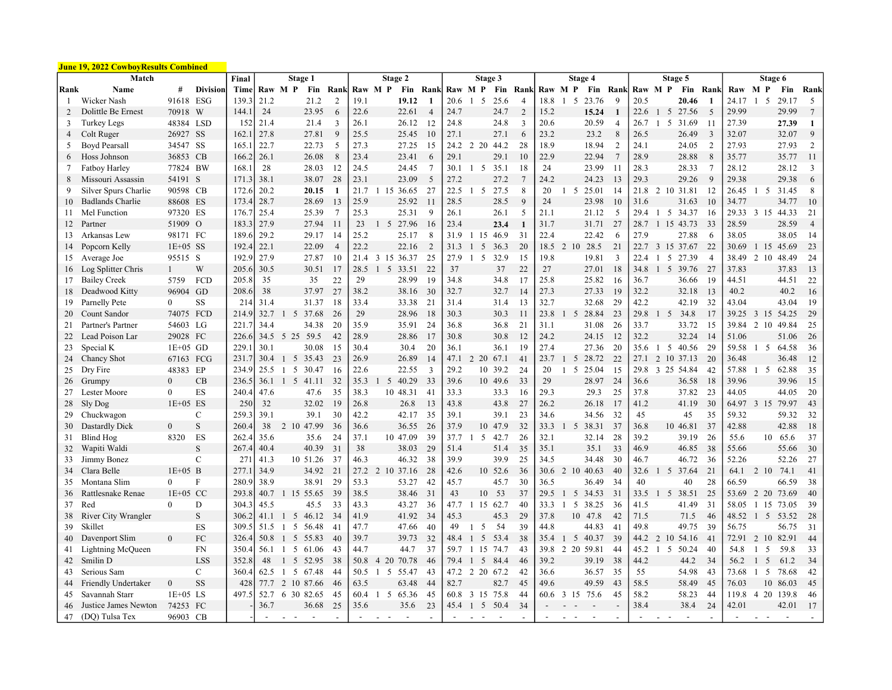|                | <u> June 19, 2022 CowboyResults Combined</u> |                  |                 |       |        |                     |            |                |                |                       |          |                |         |                |            |          |                |         |                      |           |                |         |                |                          |                |         |                          |                  |                |
|----------------|----------------------------------------------|------------------|-----------------|-------|--------|---------------------|------------|----------------|----------------|-----------------------|----------|----------------|---------|----------------|------------|----------|----------------|---------|----------------------|-----------|----------------|---------|----------------|--------------------------|----------------|---------|--------------------------|------------------|----------------|
|                | Match                                        |                  |                 | Final |        |                     | Stage 1    |                |                | Stage 2               |          |                |         |                | Stage 3    |          |                |         |                      | Stage 4   |                |         |                | Stage 5                  |                |         |                          | Stage 6          |                |
| Rank           | Name                                         | #                | <b>Division</b> | Time  |        | Raw M P             | Fin        | <b>Rank</b>    |                | Raw M P               |          | Fin Rank       | Raw M P |                |            | Fin Rank |                | Raw M P |                      | Fin       | <b>Rank</b>    | Raw M P |                |                          | Fin Rank       | Raw M P |                          | Fin              | Rank           |
| -1             | Wicker Nash                                  | 91618 ESG        |                 | 139.3 | 21.2   |                     | 21.2       | $\overline{2}$ | 19.1           |                       | 19.12    | -1             | 20.6    | $1\quad5$      |            | 25.6     | 4              | 18.8    | -5<br>$\overline{1}$ | 23.76     | q              | 20.5    |                | 20.46                    |                | 24.17   | $\overline{1}$<br>-5     | 29.17            | 5              |
| $\overline{2}$ | Dolittle Be Ernest                           | 70918            | W               | 144.1 | 24     |                     | 23.95      | 6              | 22.6           |                       | 22.61    | $\overline{4}$ | 24.7    |                |            | 24.7     | $\overline{2}$ | 15.2    |                      | 15.24     |                | 22.6    | $1\quad5$      | 27.56                    | 5              | 29.99   |                          | 29.99            | $\tau$         |
| 3              | <b>Turkey Legs</b>                           | 48384 LSD        |                 | 152   | 21.4   |                     | 21.4       | $\mathbf{3}$   | 26.1           |                       | 26.12    | 12             | 24.8    |                |            | 24.8     | 3              | 20.6    |                      | 20.59     | $\overline{4}$ | 26.7    | $1\quad5$      | 31.69                    | -11            | 27.39   |                          | 27.39            | 1              |
| 4              | Colt Ruger                                   | 26927 SS         |                 | 162.1 | 27.8   |                     | 27.81      | 9              | 25.5           |                       | 25.45    | 10             | 27.1    |                |            | 27.1     | 6              | 23.2    |                      | 23.2      | 8              | 26.5    |                | 26.49                    | 3              | 32.07   |                          | 32.07            | 9              |
| 5              | <b>Boyd Pearsall</b>                         | 34547 SS         |                 | 165.  | 22.7   |                     | 22.73      | 5              | 27.3           |                       | 27.25    | 15             |         | 24.2 2 20      | 44.2       |          | 28             | 18.9    |                      | 18.94     | $\overline{2}$ | 24.1    |                | 24.05                    | 2              | 27.93   |                          | 27.93            | 2              |
| 6              | Hoss Johnson                                 | 36853 CB         |                 | 166.2 | 26.1   |                     | 26.08      | 8              | 23.4           |                       | 23.41    | 6              | 29.1    |                |            | 29.1     | 10             | 22.9    |                      | 22.94     | $\overline{7}$ | 28.9    |                | 28.88                    | 8              | 35.77   |                          | 35.77            | -11            |
| 7              | <b>Fatboy Harley</b>                         | 77824 BW         |                 | 168.  | 28     |                     | 28.03      | 12             | 24.5           |                       | 24.45    | $\overline{7}$ | 30.1    | 1 5 35.1       |            |          | 18             | 24      |                      | 23.99     | -11            | 28.3    |                | 28.33                    | -7             | 28.12   |                          | 28.12            | 3              |
| 8              | Missouri Assassin                            | 54191 S          |                 | 171.3 | 38.1   |                     | 38.07      | 28             | 23.1           |                       | 23.09    | 5              | 27.2    |                |            | 27.2     | $\overline{7}$ | 24.2    |                      | 24.23     | -13            | 29.3    |                | 29.26                    | 9              | 29.38   |                          | 29.38            | 6              |
| 9              | Silver Spurs Charlie                         | 90598 CB         |                 | 172.6 | 20.2   |                     | 20.15      | 1              | 21.7           | 1 15 36.65            |          | 27             | 22.5    |                | 1 5 27.5   |          | 8              | 20      |                      | 1 5 25.01 | -14            |         |                | 21.8 2 10 31.81          | 12             |         |                          | 26.45 1 5 31.45  | 8              |
| 10             | Badlands Charlie                             | 88608 ES         |                 | 173.4 | 28.7   |                     | 28.69      | 13             | 25.9           |                       | 25.92    | 11             | 28.5    |                |            | 28.5     | 9              | 24      |                      | 23.98     | -10            | 31.6    |                | 31.63                    | 10             | 34.77   |                          | 34.77            | 10             |
| 11             | Mel Function                                 | 97320 ES         |                 | 176.7 | 25.4   |                     | 25.39      | $\overline{7}$ | 25.3           |                       | 25.31    | 9              | 26.1    |                |            | 26.1     | 5              | 21.1    |                      | 21.12     | 5              | 29.4    |                | 1 5 34.37                | -16            |         |                          | 29.33 3 15 44.33 | 21             |
| 12             | Partner                                      | 51909            | $\Omega$        | 183.3 | 27.9   |                     | 27.94      | 11             | 23             | $1\quad5$             | 27.96    | 16             | 23.4    |                |            | 23.4     | $\mathbf{1}$   | 31.7    |                      | 31.71     | 27             | 28.7    |                | 1 15 43.73               | 33             | 28.59   |                          | 28.59            | $\overline{4}$ |
| 13             | Arkansas Lew                                 | 98171 FC         |                 | 189.6 | 29.2   |                     | 29.17      | 14             | 25.2           |                       | 25.17    | 8              | 31.9    | 1 15           | 46.9       |          | 31             | 22.4    |                      | 22.42     | -6             | 27.9    |                | 27.88                    | -6             | 38.05   |                          | 38.05            | -14            |
| 14             | Popcorn Kelly                                | $1E+05$ SS       |                 | 192.4 | 22.1   |                     | 22.09      | $\overline{4}$ | 22.2           |                       | 22.16    | 2              | 31.3    |                | 5          | 36.3     | 20             | 18.5    | 2 10                 | 28.5      | 21             | 22.7    |                | 3 15 37.67               | 22             | 30.69   | 15<br>$\mathbf{1}$       | 45.69            | 23             |
| 15             | Average Joe                                  | 95515 S          |                 | 192.9 | 27.9   |                     | 27.87      | 10             | 21.4           | 3 15 36.37            |          | 25             | 27.9    | $1\quad5$      | 32.9       |          | 15             | 19.8    |                      | 19.81     | 3              | 22.4    | $\mathbf{1}$   | 5<br>27.39               | $\overline{4}$ | 38.49   |                          | 2 10 48.49       | 24             |
| 16             | Log Splitter Chris                           | $\mathbf{1}$     | W               | 205.6 | 30.5   |                     | 30.51      | 17             | 28.5           | 5<br>$\mathbf{1}$     | 33.51    | 22             | 37      |                |            | 37       | 22             | 27      |                      | 27.01     | -18            | 34.8    | $1\quad5$      | 39.76                    | 27             | 37.83   |                          | 37.83            | 13             |
| 17             | <b>Bailey Creek</b>                          | 5759             | FCD             | 205.8 | 35     |                     | 35         | 22             | 29             |                       | 28.99    | 19             | 34.8    |                |            | 34.8     | 17             | 25.8    |                      | 25.82     | -16            | 36.7    |                | 36.66                    | -19            | 44.51   |                          | 44.51            | 22             |
| 18             | Deadwood Kitty                               | 96904 GD         |                 | 208.6 | 38     |                     | 37.97      | 27             | 38.2           |                       | 38.16    | 30             | 32.7    |                |            | 32.7     | 14             | 27.3    |                      | 27.33     | -19            | 32.2    |                | 32.18                    | 13             | 40.2    |                          | 40.2             | 16             |
| 19             | Parnelly Pete                                | $\overline{0}$   | <b>SS</b>       | 214   | 31.4   |                     | 31.37      | 18             | 33.4           |                       | 33.38    | 21             | 31.4    |                |            | 31.4     | 13             | 32.7    |                      | 32.68     | 29             | 42.2    |                | 42.19                    | 32             | 43.04   |                          | 43.04            | -19            |
| 20             | Count Sandor                                 | 74075            | FCD             | 214.9 | 32.7   |                     | 1 5 37.68  | 26             | 29             |                       | 28.96    | 18             | 30.3    |                |            | 30.3     | 11             | 23.8    | 5                    | 28.84     | 23             | 29.8    | $1\quad 5$     | 34.8                     | 17             | 39.25   |                          | 3 15 54.25       | 29             |
| 21             | Partner's Partner                            | 54603 LG         |                 | 221.7 | 34.4   |                     | 34.38      | 20             | 35.9           |                       | 35.91    | 24             | 36.8    |                |            | 36.8     | 21             | 31.1    |                      | 31.08     | 26             | 33.7    |                | 33.72                    | -15            | 39.84   |                          | 2 10 49.84       | 25             |
| 22             | Lead Poison Lar                              | 29028 FC         |                 | 226.6 | 34.5   |                     | 5 25 59.5  | 42             | 28.9           |                       | 28.86    | 17             | 30.8    |                |            | 30.8     | 12             | 24.2    |                      | 24.15     | -12            | 32.2    |                | 32.24                    | 14             | 51.06   |                          | 51.06            | 26             |
| 23             | Special K                                    | $1E+05$ GD       |                 | 229.  | 30.1   |                     | 30.08      | 15             | 30.4           |                       | 30.4     | 20             | 36.1    |                |            | 36.1     | 19             | 27.4    |                      | 27.36     | 20             | 35.6    | $1\quad5$      | 40.56                    | 29             | 59.58   | $1\quad 5$               | 64.58            | 36             |
| 24             | Chancy Shot                                  | 67163            | FCG             | 231.7 | 30.4   |                     | 1 5 35.43  | 23             | 26.9           |                       | 26.89    | 14             | 47.1    | $\mathfrak{D}$ | 20<br>67.1 |          | 41             | 23.7    | 5<br>$\mathbf{1}$    | 28.72     | 22             | 27.1    | 2 10           | 37.13                    | 20             | 36.48   |                          | 36.48            | 12             |
| 25             | Dry Fire                                     | 48383 EP         |                 | 234.9 | 25.5   | $\perp$             | 5 30.47    | 16             | 22.6           |                       | 22.55    | 3              | 29.2    |                | 10 39.2    |          | 24             | 20      | $1\quad5$            | 25.04     | -15            |         |                | 29.8 3 25 54.84          | 42             | 57.88   |                          | 1 5 62.88        | 35             |
| 26             | Grumpy                                       | $\mathbf{0}$     | CB              | 236.5 | 36.1   |                     | 1 5 41.11  | 32             | 35.3           | 5                     | 40.29    | 33             | 39.6    |                | 10 49.6    |          | 33             | 29      |                      | 28.97     | 24             | 36.6    |                | 36.58                    | 18             | 39.96   |                          | 39.96            | 15             |
| 27             | ester Moore                                  | $\boldsymbol{0}$ | ES              | 240.4 | 47.6   |                     | 47.6       | 35             | 38.3           |                       | 10 48.31 | 41             | 33.3    |                |            | 33.3     | 16             | 29.3    |                      | 29.3      | 25             | 37.8    |                | 37.82                    | 23             | 44.05   |                          | 44.05            | 20             |
| 28             | Sly Dog                                      | $1E+05$ ES       |                 | 250   | 32     |                     | 32.02      | 19             | 26.8           |                       | 26.8     | 13             | 43.8    |                |            | 43.8     | 27             | 26.2    |                      | 26.18     | 17             | 41.2    |                | 41.19                    | 30             | 64.97   |                          | 3 15 79.97       | 43             |
| 29             | Chuckwagon                                   |                  | $\mathbf C$     | 259.3 | 39.1   |                     | 39.1       | 30             | 42.2           |                       | 42.17    | 35             | 39.1    |                |            | 39.1     | 23             | 34.6    |                      | 34.56     | 32             | 45      |                | 45                       | 35             | 59.32   |                          | 59.32            | 32             |
| 30             | Dastardly Dick                               | $\mathbf{0}$     | $\mathbf S$     | 260.4 | 38     |                     | 2 10 47.99 | 36             | 36.6           |                       | 36.55    | 26             | 37.9    |                | 10 47.9    |          | 32             | 33.3    | $1 \quad 5$          | 38.31     | 37             | 36.8    |                | 10 46.81                 | 37             | 42.88   |                          | 42.88            | 18             |
| 31             | <b>Blind Hog</b>                             | 8320             | ES              | 262.4 | 35.6   |                     | 35.6       | 24             | 37.1           |                       | 10 47.09 | 39             | 37.7    |                | 5 42.7     |          | 26             | 32.1    |                      | 32.14     | 28             | 39.2    |                | 39.19                    | 26             | 55.6    |                          | 10 65.6          | 37             |
| 32             | Wapiti Waldi                                 |                  | $\mathbf S$     | 267.4 | 40.4   |                     | 40.39      | 31             | 38             |                       | 38.03    | 29             | 51.4    |                |            | 51.4     | 35             | 35.1    |                      | 35.1      | 33             | 46.9    |                | 46.85                    | 38             | 55.66   |                          | 55.66            | 30             |
| 33             | Jimmy Bonez                                  |                  | C               | 271   | 41.3   |                     | 10 51.26   | 37             | 46.3           |                       | 46.32    | 38             | 39.9    |                |            | 39.9     | 25             | 34.5    |                      | 34.48     | 30             | 46.7    |                | 46.72                    | 36             | 52.26   |                          | 52.26            | 27             |
| 34             | Clara Belle                                  | $1E+05$ B        |                 | 277.1 | 34.9   |                     | 34.92      | 21             | $27.2 \quad 2$ |                       | 10 37.16 | 28             | 42.6    |                | 10 52.6    |          | 36             | 30.6    | 2 10                 | 40.63     | 40             | 32.6    | $1\quad5$      | 37.64                    | 21             | 64.1    | 2 10                     | 74.1             | 41             |
| 35             | Montana Slim                                 | $\theta$         | F               | 280.9 | 38.9   |                     | 38.91      | 29             | 53.3           |                       | 53.27    | 42             | 45.7    |                |            | 45.7     | 30             | 36.5    |                      | 36.49     | 34             | 40      |                | 40                       | 28             | 66.59   |                          | 66.59            | 38             |
| 36             | Rattlesnake Renae                            | $1E+0.5$ CC      |                 | 293.8 | 40.7   | $\overline{1}$      | 15 55.65   | 39             | 38.5           |                       | 38.46    | 31             | 43      |                | 10         | 53       | 37             | 29.5    | 5<br>$\mathbf{1}$    | 34.53     | 31             | 33.5    | $1\quad5$      | 38.51                    | 25             | 53.69   | 2 20                     | 73.69            | 40             |
| 37             | Red                                          | $\theta$         | D               | 304.3 | 45.5   |                     | 45.5       | 33             | 43.3           |                       | 43.27    | 36             |         | 47.7 1 15 62.7 |            |          | 40             | 33.3    | 5                    | 38.25     | 36             | 41.5    |                | 41.49                    | 31             | 58.05   |                          | 1 15 73.05       | 39             |
| 38             | River City Wrangler                          |                  | $\mathbf S$     | 306.2 | 41.1   |                     | 1 5 46.12  | 34             | 41.9           |                       | 41.92    | 34             | 45.3    |                |            | 45.3     | 29             | 37.8    |                      | 10 47.8   | 42             | 71.5    |                | 71.5                     | 46             | 48.52   | 5<br>$\overline{1}$      | 53.52            | 28             |
| 39             | Skillet                                      |                  | ES              | 309.5 | 51.5   | 5<br>$\overline{1}$ | 56.48      | 41             | 47.7           |                       | 47.66    | 40             | 49      |                | 5          | 54       | 39             | 44.8    |                      | 44.83     | 41             | 49.8    |                | 49.75                    | 39             | 56.75   |                          | 56.75            | 31             |
| 40             | Davenport Slim                               | $\overline{0}$   | FC              | 326.4 | 50.8   |                     | 1 5 55.83  | 40             | 39.7           |                       | 39.73    | 32             | 48.4    |                | 5<br>53.4  |          | 38             | 35.4    | 5                    | 40.37     | 39             | 44.2    | 2 10           | 54.16                    | 41             | 72.91   | 2 10                     | 82.91            | 44             |
| 41             | Lightning McQueen                            |                  | FN              | 350.4 | 56.1   |                     | 1 5 61.06  | 43             | 44.7           |                       | 44.7     | 37             | 59.7 1  |                | 74.7<br>15 |          | 43             | 39.8    | 2 20                 | 59.81     | 44             | 45.2    | $1\quad5$      | 50.24                    | 40             | 54.8    | -1<br>5                  | 59.8             | 33             |
| 42             | Smilin D                                     |                  | <b>LSS</b>      | 352.8 | 48     |                     | 1 5 52.95  | 38             | 50.8           | 4 20 70.78            |          | 46             | 79.4    | $\overline{1}$ | 84.4<br>5  |          | 46             | 39.2    |                      | 39.19     | 38             | 44.2    |                | 44.2                     | 34             | 56.2    | 5<br>$\mathbf{1}$        | 61.2             | 34             |
| 43             | Serious Sam                                  |                  | $\mathbf{C}$    | 360.4 | 62.5   | - 5<br>-1           | 67.48      | 44             | 50.5           | - 5<br>$\overline{1}$ | 55.47    | 43             | 47.2    | 2              | 20 67.2    |          | 42             | 36.6    |                      | 36.57     | 35             | 55      |                | 54.98                    | 43             | 73.68   | $\overline{1}$<br>5      | 78.68            | 42             |
| 44             | Friendly Undertaker                          | $\mathbf{0}$     | <b>SS</b>       | 428   | 77.7   |                     | 2 10 87.66 | 46             | 63.5           |                       | 63.48    | 44             | 82.7    |                |            | 82.7     | 45             | 49.6    |                      | 49.59     | 43             | 58.5    |                | 58.49                    | 45             | 76.03   | 10                       | 86.03            | 45             |
| 45             | Savannah Starr                               | $1E+05$ LS       |                 | 497.5 | 52.7   |                     | 6 30 82.65 | 45             | 60.4           | 5<br>$\mathbf{1}$     | 65.36    | 45             | 60.8    | 3 15           | 75.8       |          | 44             | 60.6    | 3 15                 | 75.6      | 45             | 58.2    |                | 58.23                    | 44             | 119.8   |                          | 4 20 139.8       | 46             |
| 46             | Justice James Newton                         | 74253 FC         |                 |       | 36.7   |                     | 36.68      | 25             | 35.6           |                       | 35.6     | 23             | 45.4    | 1 5 50.4       |            |          | 34             |         |                      |           |                | 38.4    |                | 38.4                     | 24             | 42.01   |                          | 42.01            | 17             |
| 47             | (DO) Tulsa Tex                               | 96903 CB         |                 |       | $\sim$ | $\sim$ $ \sim$      | $\sim$     | $\overline{a}$ | $\sim$         | $\omega_{\rm{max}}$   | $\sim$   | $\blacksquare$ |         |                |            |          |                |         |                      |           |                | $\sim$  | $\sim$ $ \sim$ | $\overline{\phantom{a}}$ |                | $\sim$  | $\overline{\phantom{a}}$ |                  |                |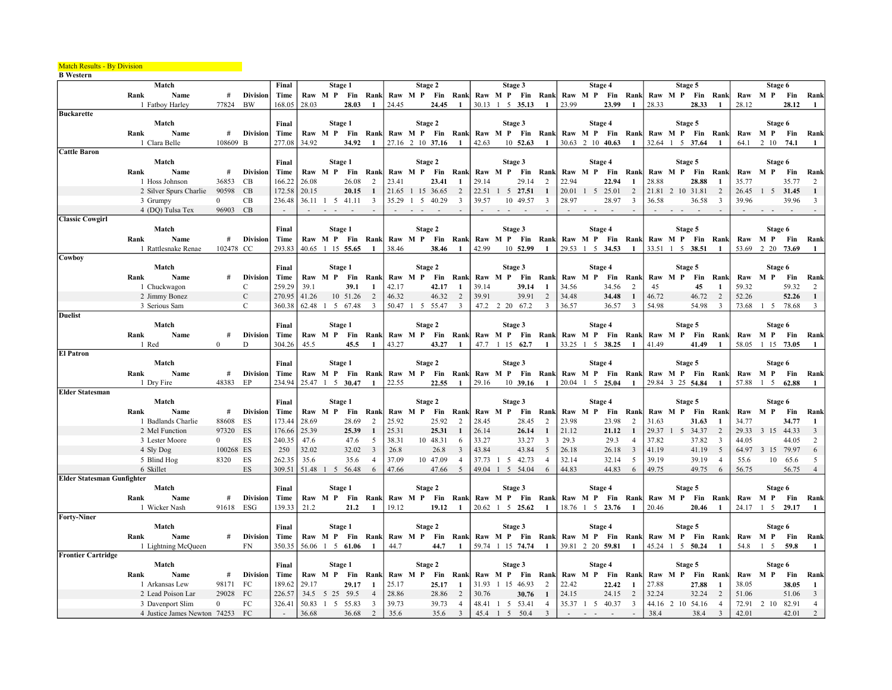## Match Results - By Division

**B** Western

|                                   | Match                                            |                |                 | Final            |       | Stage 1          |          |              |               |         | Stage 2                   |                     |               |        | Stage 3                                                             |                |        |         | Stage 4          |                         |         |           | Stage 5                  |                     |                | Stage 6          |                         |                      |
|-----------------------------------|--------------------------------------------------|----------------|-----------------|------------------|-------|------------------|----------|--------------|---------------|---------|---------------------------|---------------------|---------------|--------|---------------------------------------------------------------------|----------------|--------|---------|------------------|-------------------------|---------|-----------|--------------------------|---------------------|----------------|------------------|-------------------------|----------------------|
|                                   | Name<br>Rank                                     | #              | <b>Division</b> | Time             |       |                  |          |              |               |         |                           |                     |               |        | Raw M P Fin Rank Raw M P Fin Rank Raw M P Fin Rank Raw M P Fin Rank |                |        |         |                  |                         |         |           | Raw M P Fin Rank         |                     |                | Raw M P          | Fin                     | Rank                 |
|                                   | 1 Fatboy Harley                                  | 77824          | BW              | 168.05           | 28.03 |                  | 28.03    |              | 24.45         |         | 24.45                     | -1                  |               |        | 30.13 1 5 35.13                                                     | $\mathbf{1}$   | 23.99  |         | 23.99            | -1                      | 28.33   |           | 28.33                    |                     | 28.12          |                  | 28.12                   | -1                   |
| <b>Buckarette</b>                 |                                                  |                |                 |                  |       |                  |          |              |               |         |                           |                     |               |        |                                                                     |                |        |         |                  |                         |         |           |                          |                     |                |                  |                         |                      |
|                                   | Match                                            |                |                 | Final            |       | Stage 1          |          |              |               |         | Stage 2                   |                     |               |        | Stage 3                                                             |                |        |         | Stage 4          |                         |         |           | Stage 5                  |                     |                |                  | Stage 6                 |                      |
|                                   | Name<br>Rank                                     | #              | <b>Division</b> | Time             |       | Raw M P Fin Rank |          |              |               |         |                           |                     |               |        | Raw M P Fin Rank Raw M P Fin Rank                                   |                |        |         | Raw M P Fin Rank |                         |         |           | Raw M P Fin Rank         |                     |                | Raw M P Fin      |                         | Rank                 |
|                                   | 1 Clara Belle                                    | 108609 B       |                 | 277.08           | 34.92 |                  | 34.92    | $\mathbf{1}$ |               |         | 27.16 2 10 37.16          | $\mathbf{1}$        | 42.63         |        | 10 52.63                                                            | 1              |        |         | 30.63 2 10 40.63 | -1                      |         |           | 32.64 1 5 37.64          | $\mathbf{1}$        | 64.1           | 2 10             | 74.1                    | -1                   |
| <b>Cattle Baron</b>               |                                                  |                |                 |                  |       |                  |          |              |               |         |                           |                     |               |        |                                                                     |                |        |         |                  |                         |         |           |                          |                     |                |                  |                         |                      |
|                                   | Match                                            |                |                 | Final            |       | Stage 1          |          |              |               |         | Stage 2                   |                     |               |        | Stage 3                                                             |                |        |         | Stage 4          |                         |         |           | Stage 5                  |                     |                |                  | Stage 6                 |                      |
|                                   | Rank<br>Name                                     | #              | <b>Division</b> | Time             |       | Raw M P          | Fin      | Rank         |               | Raw M P | Fin                       | Rank                | Raw M P       |        | Fin                                                                 | Rank           |        | Raw M P | Fin              | Rank                    | Raw M P |           | Fin                      | Rank                | Raw            | M P              | Fin                     | Rank                 |
|                                   | 1 Hoss Johnson                                   | 36853          | CB              | 166.22           | 26.08 |                  | 26.08    | 2            | 23.41         |         | 23.41                     |                     | 29.14         |        | 29.14                                                               | 2              | 22.94  |         | 22.94            | -1                      | 28.88   |           | 28.88                    |                     | 35.77          |                  | 35.77                   | 2                    |
|                                   | 2 Silver Spurs Charlie                           | 90598          | CB              | 172.58           | 20.15 |                  | 20.15    |              |               |         | 21.65 1 15 36.65          | 2                   |               |        | 22.51 1 5 27.51                                                     | -1             |        |         | 20.01 1 5 25.01  | 2                       |         |           | 21.81 2 10 31.81         | $\overline{2}$      | 26.45          |                  | $1 \quad 5 \quad 31.45$ | 1                    |
|                                   | 3 Grumpy                                         | $\overline{0}$ | CB              | 236.48           |       | 36.11 1 5 41.11  |          | 3            |               |         | 35.29 1 5 40.29           | 3                   | 39.57         |        | 10 49.57                                                            | 3              | 28.97  |         | 28.97            | $\overline{\mathbf{3}}$ | 36.58   |           | 36.58                    | $\overline{3}$      | 39.96          |                  | 39.96                   | 3                    |
|                                   | 4 (DQ) Tulsa Tex                                 | 96903 CB       |                 | $\sim$           |       |                  |          |              |               | $\sim$  | $\sim$                    |                     |               | $\sim$ |                                                                     |                | $\sim$ | $ -$    |                  |                         |         | $ -$      | $\sim$                   |                     |                | $ -$             | $\sim$                  |                      |
| <b>Classic Cowgirl</b>            |                                                  |                |                 |                  |       |                  |          |              |               |         |                           |                     |               |        |                                                                     |                |        |         |                  |                         |         |           |                          |                     |                |                  |                         |                      |
|                                   | Match                                            |                |                 | Final            |       | Stage 1          |          |              |               |         | Stage 2                   |                     |               |        | Stage 3                                                             |                |        |         | Stage 4          |                         |         |           | Stage 5                  |                     |                |                  | Stage 6                 |                      |
|                                   | Name<br>Rank                                     | #              | <b>Division</b> | Time             |       | Raw M P          |          |              |               |         | Fin Rank Raw M P Fin Rank |                     |               |        | Raw M P Fin Rank                                                    |                |        |         | Raw M P Fin Rank |                         |         |           | Raw M P Fin Rank         |                     |                | Raw M P Fin      |                         | Rank                 |
|                                   | 1 Rattlesnake Renae                              | 102478 CC      |                 | 293.83           |       | 40.65 1 15 55.65 |          |              | 38.46         |         | 38.46                     |                     | 42.99         |        | 10 52.99                                                            | $\mathbf{1}$   |        |         | 29.53 1 5 34.53  | -1                      |         |           | 33.51 1 5 38.51          |                     | 53.69          |                  | 2 20 73.69              |                      |
| Cowboy                            |                                                  |                |                 |                  |       |                  |          |              |               |         |                           |                     |               |        |                                                                     |                |        |         |                  |                         |         |           |                          |                     |                |                  |                         |                      |
|                                   | Match                                            |                |                 | Final            |       | Stage 1          |          |              |               |         | Stage 2                   |                     |               |        | Stage 3                                                             |                |        |         | Stage 4          |                         |         |           | Stage 5                  |                     |                | Stage 6          |                         |                      |
|                                   | Rank<br>Name                                     | #              | <b>Division</b> | Time             |       | Raw M P Fin Rank |          |              |               |         | Raw M P Fin Rank          |                     |               |        | Raw M P Fin Rank                                                    |                |        |         | Raw M P Fin Rank |                         |         |           | Raw M P Fin Rank         |                     |                | Raw M P Fin      |                         | Rank                 |
|                                   | 1 Chuckwagon                                     |                | C               | 259.29           | 39.1  |                  | 39.1     | -1           | 42.17         |         | 42.17                     |                     | 39.14         |        | 39.14                                                               | -1             | 34.56  |         | 34.56            | 2                       | 45      |           | 45                       | $\mathbf{1}$        | 59.32          |                  | 59.32                   | 2                    |
|                                   | 2 Jimmy Bonez                                    |                | $\mathbf C$     | 270.95           | 41.26 |                  | 10 51.26 | 2            | 46.32         |         | 46.32                     | 2                   | 39.91         |        | 39.91                                                               | 2              | 34.48  |         | 34.48            | 1                       | 46.72   |           | 46.72                    | 2                   | 52.26          |                  | 52.26                   | -1                   |
|                                   | 3 Serious Sam                                    |                | $\mathcal{C}$   | 360.38           |       | 62.48 1 5 67.48  |          | 3            |               |         | 50.47 1 5 55.47           | $\mathbf{3}$        |               |        | 47.2 2 20 67.2                                                      | 3              | 36.57  |         | 36.57            | 3                       | 54.98   |           | 54.98                    | 3                   | 73.68          |                  | 1 5 78.68               | 3                    |
| <b>Duelist</b>                    |                                                  |                |                 |                  |       |                  |          |              |               |         |                           |                     |               |        |                                                                     |                |        |         |                  |                         |         |           |                          |                     |                |                  |                         |                      |
|                                   | Match                                            |                |                 | Final            |       | Stage 1          |          |              |               |         | Stage 2                   |                     |               |        | Stage 3                                                             |                |        |         | Stage 4          |                         |         |           | Stage 5                  |                     |                | Stage 6          |                         |                      |
|                                   | Rank<br>Name                                     | #              | <b>Division</b> | Time             |       | Raw M P Fin Rank |          |              |               |         | Raw M P Fin Rank          |                     |               |        | Raw M P Fin Rank                                                    |                |        |         | Raw M P Fin Rank |                         |         |           | Raw M P Fin Rank         |                     |                | Raw M P Fin      |                         | Rank                 |
|                                   | 1 Red                                            | $\overline{0}$ | D               | 304.26           | 45.5  |                  | 45.5     | 1            | 43.27         |         | 43.27                     | -1                  | 47.7          |        | $1\;15\;62.7$                                                       | 1              |        |         | 33.25 1 5 38.25  | -1                      | 41.49   |           | 41.49                    | $\mathbf{1}$        | 58.05          |                  | 1 15 73.05              | -1                   |
|                                   |                                                  |                |                 |                  |       |                  |          |              |               |         |                           |                     |               |        |                                                                     |                |        |         |                  |                         |         |           |                          |                     |                |                  |                         |                      |
|                                   |                                                  |                |                 |                  |       |                  |          |              |               |         |                           |                     |               |        |                                                                     |                |        |         |                  |                         |         |           |                          |                     |                |                  |                         |                      |
| <b>El Patron</b>                  |                                                  |                |                 |                  |       |                  |          |              |               |         |                           |                     |               |        |                                                                     |                |        |         |                  |                         |         |           |                          |                     |                |                  |                         |                      |
|                                   | Match                                            |                |                 | Final            |       | Stage 1          |          |              |               |         | Stage 2                   |                     |               |        | Stage 3                                                             |                |        |         | Stage 4          |                         |         |           | Stage 5                  |                     |                |                  | Stage 6                 |                      |
|                                   | Rank<br>Name                                     | #              | <b>Division</b> | Time             |       | Raw M P          | Fin      | Rank         |               |         | Raw M P Fin Rank          |                     |               |        | Raw M P Fin Rank                                                    |                |        | Raw M P | Fin Rank         |                         |         |           | Raw M P Fin Rank         |                     |                | Raw M P          | <b>Fin</b>              | Rank                 |
|                                   | 1 Dry Fire                                       | 48383          | EP              | 234.94           |       | 25.47 1 5 30.47  |          | $\mathbf{1}$ | 22.55         |         | 22.55                     | -1                  | 29.16         |        | 10 39.16                                                            | -1             |        |         | 20.04 1 5 25.04  | -1                      |         |           | 29.84 3 25 54.84         | -1                  | 57.88          | $1\quad 5$       | 62.88                   | -1                   |
| <b>Elder Statesman</b>            |                                                  |                |                 |                  |       |                  |          |              |               |         |                           |                     |               |        |                                                                     |                |        |         |                  |                         |         |           |                          |                     |                |                  |                         |                      |
|                                   | Match                                            |                |                 | Final            |       | Stage 1          |          |              |               |         | Stage 2                   |                     |               |        | Stage 3                                                             |                |        |         | Stage 4          |                         |         |           | Stage 5                  |                     |                | Stage 6          |                         |                      |
|                                   | Name<br>Rank                                     | #              | <b>Division</b> | Time             |       | Raw M P          | Fin      | Rank         | Raw           | M P     | Fin                       | Rank                | Raw           | M P    | Fin                                                                 | Rank           |        | Raw M P | Fin              | Rank                    | Raw M P |           | Fin Ranl                 |                     | Raw            | M P              | Fin                     | Rank                 |
|                                   | 1 Badlands Charlie                               | 88608          | ES              | 173.44           | 28.69 |                  | 28.69    | 2            | 25.92         |         | 25.92                     | $\overline{2}$      | 28.45         |        | 28.45                                                               | 2              | 23.98  |         | 23.98            | 2                       | 31.63   |           | 31.63                    |                     | 34.77          |                  | 34.77                   | $\mathbf{1}$         |
|                                   | 2 Mel Function                                   | 97320 ES       |                 | 176.66           | 25.39 |                  | 25.39    | -1           | 25.31         |         | 25.31                     |                     | 26.14         |        | 26.14                                                               | 1              | 21.12  |         | 21.12            | -1                      | 29.37   | $1\quad5$ | 34.37                    | 2                   | 29.33          | 3 15 44.33       |                         | 3                    |
|                                   | 3 Lester Moore                                   | $\Omega$       | ES              | 240.35           | 47.6  |                  | 47.6     | 5            | 38.31         |         | 10 48.31                  |                     | 33.27         |        | 33.27                                                               | 3              | 29.3   |         | 29.3             | $\overline{4}$          | 37.82   |           | 37.82                    | 3                   | 44.05          |                  | 44.05                   | 2                    |
|                                   | 4 Sly Dog                                        | 100268 ES      |                 | 250              | 32.02 |                  | 32.02 3  |              | 26.8          |         | 26.8                      | 3                   | 43.84         |        | 43.84                                                               | 5              | 26.18  |         | 26.18            | 3                       | 41.19   |           | 41.19                    | 5                   |                | 64.97 3 15 79.97 |                         | 6                    |
|                                   | 5 Blind Hog                                      | 8320           | ES              | 262.35           | 35.6  |                  | 35.6     | 4            | 37.09         |         | 10 47.09                  | 4                   | 37.73         |        | 1 5 42.73                                                           | $\overline{4}$ | 32.14  |         | 32.14            | 5                       | 39.19   |           | 39.19                    | $\overline{4}$      | 55.6           | 10               | 65.6                    | 5                    |
|                                   | 6 Skillet                                        |                | ES              | 309.51           |       | 51.48 1 5 56.48  |          | 6            | 47.66         |         | 47.66                     | 5                   | 49.04         |        | 1 5 54.04                                                           | 6              | 44.83  |         | 44.83            | 6                       | 49.75   |           | 49.75                    | 6                   | 56.75          |                  | 56.75                   | $\overline{4}$       |
| <b>Elder Statesman Gunfighter</b> |                                                  |                |                 |                  |       |                  |          |              |               |         |                           |                     |               |        |                                                                     |                |        |         |                  |                         |         |           |                          |                     |                |                  |                         |                      |
|                                   | Match                                            |                |                 | Final            |       | Stage 1          |          |              |               |         | Stage 2                   |                     |               |        | Stage 3                                                             |                |        |         | Stage 4          |                         |         |           | Stage 5                  |                     |                | Stage 6          |                         |                      |
|                                   | Rank<br>Name                                     | #              | <b>Division</b> | Time             |       | Raw M P          | Fin      | Rank         |               |         | Raw M P Fin Rank          | -1                  |               |        | Raw M P Fin Rank                                                    | $\mathbf{1}$   |        | Raw M P | <b>Fin Rank</b>  |                         | Raw M P |           | <b>Fin Rank</b>          |                     | Raw            | M P              | Fin                     | Rank<br>$\mathbf{1}$ |
|                                   | 1 Wicker Nash                                    | 91618          | ESG             | 139.33           | 21.2  |                  | 21.2     | 1            | 19.12         |         | 19.12                     |                     |               |        | 20.62 1 5 25.62                                                     |                |        |         | 18.76 1 5 23.76  | -1                      | 20.46   |           | 20.46                    |                     | 24.17          |                  | $1 \quad 5 \quad 29.17$ |                      |
| <b>Forty-Niner</b>                |                                                  |                |                 |                  |       |                  |          |              |               |         |                           |                     |               |        |                                                                     |                |        |         |                  |                         |         |           |                          |                     |                |                  |                         |                      |
|                                   | Match                                            |                |                 | Final            |       | Stage 1          |          |              |               |         | Stage 2                   |                     |               |        | Stage 3                                                             |                |        |         | Stage 4          |                         |         |           | Stage 5                  |                     |                |                  | Stage 6                 |                      |
|                                   | Rank<br>Name                                     | #              | <b>Division</b> | <b>Time</b>      |       | Raw M P Fin Rank |          |              |               |         |                           |                     |               |        | Raw M P Fin Rank Raw M P Fin Rank                                   |                |        |         | Raw M P Fin Rank |                         |         |           | Raw M P Fin Rank         |                     |                | Raw M P Fin      |                         | Rank                 |
|                                   | 1 Lightning McQueen                              |                | FN              | 350.35           |       | 56.06 1 5 61.06  |          |              | 44.7          |         | 44.7                      | -1                  |               |        | 59.74 1 15 74.74                                                    | $\mathbf{1}$   |        |         | 39.81 2 20 59.81 | 1                       |         |           | 45.24 1 5 50.24          | $\mathbf{1}$        | 54.8           | $1\quad 5$       | 59.8                    | -1                   |
| <b>Frontier Cartridge</b>         |                                                  |                |                 |                  |       |                  |          |              |               |         |                           |                     |               |        |                                                                     |                |        |         |                  |                         |         |           |                          |                     |                |                  |                         |                      |
|                                   | Match                                            |                |                 | Final            |       | Stage 1          |          |              |               |         | Stage 2                   |                     |               |        | Stage 3                                                             |                |        |         | Stage 4          |                         |         |           | Stage 5                  |                     |                |                  | Stage 6                 |                      |
|                                   | Rank<br>Name                                     | #              | <b>Division</b> | Time             |       | Raw M P          | Fin      | Rank         |               | Raw M P | Fin                       | Rank                | Raw M P       |        | Fin                                                                 | Rank           |        | Raw M P | Fin              | Rank                    | Raw M P |           | Fin                      | Rank                |                | Raw M P          | Fin                     | Rank                 |
|                                   | 1 Arkansas Lew                                   | 98171          | FC              | 189.62           | 29.17 |                  | 29.17    |              | 25.17         |         | 25.17                     |                     | 31.93         | 1 15   | 46.93                                                               | 2<br>-1        | 22.42  |         | 22.42            | -1                      | 27.88   |           | 27.88                    | $\mathbf{1}$        | 38.05          |                  | 38.05                   | -1                   |
|                                   | 2 Lead Poison Lar                                | 29028          | FC              | 226.57           |       | 34.5 5 25 59.5   |          |              | 28.86         |         | 28.86                     | $\overline{2}$      | 30.76         |        | 30.76                                                               |                | 24.15  |         | 24.15            | 2                       | 32.24   |           | 32.24                    | $\overline{2}$      | 51.06          |                  | 51.06                   | 3                    |
|                                   | 3 Davenport Slim<br>4 Justice James Newton 74253 | $\mathbf{0}$   | FC<br>FC        | 326.41<br>$\sim$ | 36.68 | 50.83 1 5 55.83  | 36.68    | 3<br>2       | 39.73<br>35.6 |         | 39.73<br>35.6             | 4<br>$\overline{3}$ | 48.41<br>45.4 |        | 1 5 53.41<br>1 5 50.4                                               | 4<br>3         |        |         | 35.37 1 5 40.37  | $\overline{\mathbf{3}}$ | 38.4    |           | 44.16 2 10 54.16<br>38.4 | $\overline{4}$<br>3 | 72.91<br>42.01 | 2 10             | 82.91<br>42.01          | 4<br>2               |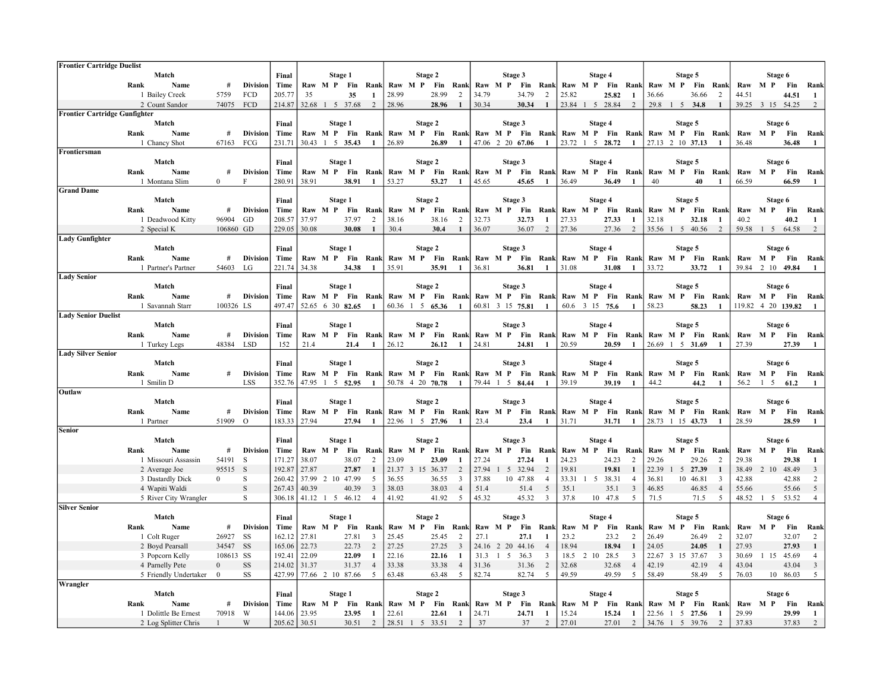| <b>Frontier Cartridge Duelist</b>    |                                              |                       |                               |                  |                |                                     |                |                      |             |   |                          |                |             |                                                                       |             |                |                |                |                  |                |         |                                   |                          |                |                |                           |                    |                         |
|--------------------------------------|----------------------------------------------|-----------------------|-------------------------------|------------------|----------------|-------------------------------------|----------------|----------------------|-------------|---|--------------------------|----------------|-------------|-----------------------------------------------------------------------|-------------|----------------|----------------|----------------|------------------|----------------|---------|-----------------------------------|--------------------------|----------------|----------------|---------------------------|--------------------|-------------------------|
|                                      | Match                                        |                       |                               | Final            |                | Stage 1                             |                |                      |             |   | Stage 2                  |                |             | Stage 3                                                               |             |                |                |                | Stage 4          |                |         | Stage 5                           |                          |                |                | Stage 6                   |                    |                         |
|                                      | Name<br>Rank                                 | #                     | <b>Division</b>               | Time             |                | Raw M P Fin                         |                | Rank                 | Raw M P Fin |   |                          | Rank           |             | Raw M P                                                               | Fin         | Rank           |                | Raw M P Fin    |                  | Rank           | Raw M P |                                   | Fin                      | Rank           |                | Raw M P                   | Fin                | Rank                    |
|                                      | 1 Bailey Creek                               | 5759                  | FCD                           | 205.77           | 35             |                                     | 35             |                      | 28.99       |   | 28.99                    | 2              | 34.79       |                                                                       | 34.79       | 2              | 25.82          |                | 25.82            | -1             | 36.66   |                                   | 36.66                    | 2              | 44.51          |                           | 44.51              | -1                      |
|                                      | 2 Count Sandor                               | 74075                 | FCD                           | 214.87           |                | 32.68 1 5 37.68                     |                | 2                    | 28.96       |   | 28.96                    | $\mathbf{1}$   | 30.34       |                                                                       | 30.34       | $\mathbf{1}$   |                |                | 23.84 1 5 28.84  | 2              | 29.8    | $1 \quad 5 \quad 34.8$            |                          | $\mathbf{1}$   |                | 39.25 3 15 54.25          |                    | 2                       |
| <b>Frontier Cartridge Gunfighter</b> |                                              |                       |                               |                  |                |                                     |                |                      |             |   |                          |                |             |                                                                       |             |                |                |                |                  |                |         |                                   |                          |                |                |                           |                    |                         |
|                                      | Match                                        |                       |                               | Final            |                | Stage 1                             |                |                      |             |   | Stage 2                  |                |             | Stage 3                                                               |             |                |                |                | Stage 4          |                |         | Stage 5                           |                          |                |                | Stage 6                   |                    |                         |
|                                      | Rank<br>Name                                 | #                     | <b>Division</b>               | Time             |                | Raw M P Fin Rank                    |                |                      |             |   |                          |                |             | Raw M P Fin Rank Raw M P Fin Rank Raw M P Fin Rank                    |             |                |                |                |                  |                |         |                                   | Raw M P Fin Rank         |                |                | Raw M P Fin               |                    | Rank                    |
| Frontiersman                         | 1 Chancy Shot                                | 67163                 | FCG                           | 231.71           | 30.43          | $1 \quad 5 \quad 35.43$             |                |                      | 26.89       |   | 26.89                    | 1              |             | 47.06 2 20 67.06                                                      |             | -1             |                |                | 23.72 1 5 28.72  | -1             |         | 27.13 2 10 37.13                  |                          |                | 36.48          |                           | 36.48              | -1                      |
|                                      | Match                                        |                       |                               | Final            |                |                                     | Stage 1        |                      |             |   | Stage 2                  |                |             | Stage 3                                                               |             |                |                |                | Stage 4          |                |         | Stage 5                           |                          |                |                | Stage 6                   |                    |                         |
|                                      | Rank<br>Name                                 | #                     | <b>Division</b>               | Time             |                | Raw M P                             |                | Fin Rank             |             |   | Raw M P Fin Rank         |                |             | Raw M P Fin                                                           |             | Rank           |                | Raw M P Fin    |                  | Rank           |         | Raw M P Fin                       |                          | Rank           |                | Raw M P                   | Fin                | Rank                    |
|                                      | 1 Montana Slim                               | $\overline{0}$        | F                             | 280.91           | 38.91          |                                     | 38.91          |                      | 53.27       |   | 53.27                    | 1              | 45.65       |                                                                       | 45.65       | $\mathbf{1}$   | 36.49          |                | 36.49            | 1              | 40      |                                   | 40                       | 1              | 66.59          |                           | 66.59              | 1                       |
| <b>Grand Dame</b>                    |                                              |                       |                               |                  |                |                                     |                |                      |             |   |                          |                |             |                                                                       |             |                |                |                |                  |                |         |                                   |                          |                |                |                           |                    |                         |
|                                      | Match                                        |                       |                               | Final            |                | Stage 1                             |                |                      |             |   | Stage 2                  |                |             | Stage 3                                                               |             |                |                |                | Stage 4          |                |         | Stage 5                           |                          |                |                | Stage 6                   |                    |                         |
|                                      | Rank<br>Name                                 | #                     | <b>Division</b>               | Time             |                | Raw M P                             |                | <b>Fin Rank</b>      |             |   | Raw M P Fin              | Rank           |             | Raw M P                                                               | Fin         | Rank           |                | Raw M P Fin    |                  | Rank           | Raw M P |                                   | Fin                      | Rank           | Raw            | M P                       | Fin                | Rank                    |
|                                      | 1 Deadwood Kitty                             | 96904                 | GD                            | 208.57           | 37.97          |                                     | 37.97          | 2                    | 38.16       |   | 38.16                    | 2              | 32.73       |                                                                       | 32.73       | -1             | 27.33          |                | 27.33            | -1             | 32.18   |                                   | 32.18                    | -1             | 40.2           |                           | 40.2               | -1                      |
|                                      | 2 Special K                                  | 106860 GD             |                               | 229.05           | 30.08          |                                     | 30.08          | -1                   | 30.4        |   | 30.4                     | $\mathbf{1}$   | 36.07       |                                                                       | 36.07       | 2              | 27.36          |                | 27.36            | 2              |         | 35.56 1 5 40.56                   |                          | 2              | 59.58          | 1 5 64.58                 |                    | 2                       |
| <b>Lady Gunfighter</b>               |                                              |                       |                               |                  |                |                                     |                |                      |             |   |                          |                |             |                                                                       |             |                |                |                |                  |                |         |                                   |                          |                |                |                           |                    |                         |
|                                      | Match                                        |                       |                               | Final            |                | Stage 1                             |                |                      |             |   | Stage 2                  |                |             | Stage 3                                                               |             |                |                |                | Stage 4          |                |         | Stage 5                           |                          |                |                | Stage 6                   |                    |                         |
|                                      | Rank<br>Name                                 | #                     | <b>Division</b>               | Time             |                | Raw M P                             |                | Fin Rank             |             |   | Raw M P Fin Rank         |                |             | Raw M P Fin Rank                                                      |             |                |                |                | Raw M P Fin Rank |                |         | Raw M P Fin                       |                          | Rank           |                | Raw M P                   | <b>Fin</b>         | Rank                    |
|                                      | 1 Partner's Partner                          | 54603                 | LG                            | 221.74           | 34.38          |                                     | 34.38          |                      | 35.91       |   | 35.91                    | $\mathbf{1}$   | 36.81       |                                                                       | 36.81       | $\mathbf{1}$   | 31.08          |                | 31.08            | $\blacksquare$ | 33.72   |                                   | 33.72                    | $\mathbf{1}$   | 39.84          | 2 10 49.84                |                    | $\mathbf{1}$            |
| <b>Lady Senior</b>                   |                                              |                       |                               |                  |                |                                     |                |                      |             |   |                          |                |             |                                                                       |             |                |                |                |                  |                |         |                                   |                          |                |                |                           |                    |                         |
|                                      | Match                                        |                       |                               | Final            |                | Stage 1                             |                |                      |             |   | Stage 2                  |                |             | Stage 3                                                               |             |                |                |                | Stage 4          |                |         | Stage 5                           |                          |                |                | Stage 6                   |                    |                         |
|                                      | Rank<br>Name                                 | #                     | <b>Division</b>               | Time             |                | Raw M P Fin Rank                    |                |                      |             |   |                          |                |             | Raw M P Fin Rank Raw M P Fin Rank Raw M P Fin Rank                    |             |                |                |                |                  |                |         |                                   | Raw M P Fin Rank         |                |                | Raw M P Fin               |                    | Rank                    |
|                                      | 1 Savannah Starr                             | 100326 LS             |                               | 497.47           |                | 52.65 6 30 82.65                    |                | $\mathbf{1}$         |             |   | 60.36 1 5 65.36          | -1             |             | 60.81 3 15 75.81                                                      |             | $\mathbf{1}$   |                |                | 60.6 3 15 75.6   | -1             | 58.23   |                                   | 58.23                    | -1             |                |                           | 119.82 4 20 139.82 |                         |
| <b>Lady Senior Duelist</b>           |                                              |                       |                               |                  |                |                                     |                |                      |             |   |                          |                |             |                                                                       |             |                |                |                |                  |                |         |                                   |                          |                |                |                           |                    |                         |
|                                      | Match                                        |                       |                               | Final            |                |                                     | Stage 1        |                      |             |   | Stage 2                  |                |             | Stage 3                                                               |             |                |                |                | Stage 4          |                |         | Stage 5                           |                          |                |                | Stage 6                   |                    |                         |
|                                      | Rank<br>Name                                 | #                     | <b>Division</b>               | Time             |                | Raw M P                             |                | Fin Rank             |             |   | Raw M P Fin Rank         |                |             | Raw M P Fin Rank                                                      |             |                |                |                | Raw M P Fin Rank |                |         |                                   | Raw M P Fin Rank         |                |                | Raw M P Fin               |                    | Rank                    |
|                                      | 1 Turkey Legs                                | 48384                 | <b>LSD</b>                    | 152              | 21.4           |                                     | 21.4           | -1                   | 26.12       |   | 26.12                    | -1             | 24.81       |                                                                       | 24.81       | 1              | 20.59          |                | 20.59            | 1              | 26.69   | $1 \quad 5 \quad 31.69$           |                          | -1             | 27.39          |                           | 27.39              | -1                      |
| <b>Lady Silver Senior</b>            |                                              |                       |                               |                  |                |                                     |                |                      |             |   |                          |                |             |                                                                       |             |                |                |                |                  |                |         |                                   |                          |                |                |                           |                    |                         |
|                                      | Match                                        |                       |                               | Final            |                | Stage 1                             |                |                      |             |   | Stage 2                  |                |             | Stage 3                                                               |             |                |                |                | Stage 4          |                |         | Stage 5                           |                          |                |                | Stage 6                   |                    |                         |
|                                      | Rank<br>Name<br>1 Smilin D                   | #                     | <b>Division</b><br><b>LSS</b> | Time<br>352.76   |                | Raw M P Fin Rank<br>47.95 1 5 52.95 |                |                      |             |   | 50.78 4 20 70.78         | 1              |             | Raw M P Fin Rank Raw M P Fin Rank Raw M P Fin Rank<br>79.44 1 5 84.44 |             | 1              | 39.19          |                | 39.19            | -1             | 44.2    |                                   | Raw M P Fin Rank<br>44.2 | -1             | 56.2           | Raw M P Fin<br>$1\quad 5$ | 61.2               | Rank<br>1               |
| Outlaw                               |                                              |                       |                               |                  |                |                                     |                |                      |             |   |                          |                |             |                                                                       |             |                |                |                |                  |                |         |                                   |                          |                |                |                           |                    |                         |
|                                      | Match                                        |                       |                               | Final            |                | Stage 1                             |                |                      |             |   | Stage 2                  |                |             | Stage 3                                                               |             |                |                |                | Stage 4          |                |         | Stage 5                           |                          |                |                | Stage 6                   |                    |                         |
|                                      | Rank<br>Name                                 | #                     | <b>Division</b>               | Time             |                | Raw M P                             |                | <b>Fin</b> Rank      |             |   | Raw M P Fin Rank         |                |             | Raw M P Fin Rank                                                      |             |                |                |                | Raw M P Fin Rank |                |         |                                   | Raw M P Fin Rank         |                |                | Raw M P                   | Fin                | Rank                    |
|                                      | 1 Partner                                    | 51909                 | $\circ$                       | 183.33           | 27.94          |                                     | 27.94          |                      |             |   | 22.96 1 5 27.96          |                | 23.4        |                                                                       | 23.4        | $\mathbf{1}$   | 31.71          |                | 31.71            | -1             |         | 28.73 1 15 43.73                  |                          |                | 28.59          |                           | 28.59              | -1                      |
| <b>Senior</b>                        |                                              |                       |                               |                  |                |                                     |                |                      |             |   |                          |                |             |                                                                       |             |                |                |                |                  |                |         |                                   |                          |                |                |                           |                    |                         |
|                                      | Match                                        |                       |                               | Final            |                | Stage 1                             |                |                      |             |   | Stage 2                  |                |             | Stage 3                                                               |             |                |                |                | Stage 4          |                |         | Stage 5                           |                          |                |                | Stage 6                   |                    |                         |
|                                      | Name<br>Rank                                 | #                     | <b>Division</b>               | Time             |                | Raw M P                             | Fin            | Ranl                 |             |   | Raw M P Fin              | Rank           |             | Raw M P                                                               | Fin         | Rank           |                | Raw M P        | Fin              | Rank           | Raw M P |                                   | Fin                      | Ranl           |                | Raw M P                   | Fin                | Ranl                    |
|                                      | 1 Missouri Assassin                          | 54191                 | S                             | 171.27           | 38.07          |                                     | 38.07          | $\mathcal{D}$        | 23.09       |   | 23.09                    |                | 27.24       |                                                                       | 27.24       | -1             | 24.23          |                | 24.23            | 2              | 29.26   |                                   | 29.26                    | 2              | 29.38          |                           | 29.38              | $\mathbf{1}$            |
|                                      | 2 Average Joe                                | 95515 S               |                               | 192.87           | 27.87          |                                     | 27.87          |                      | 21.37       | 3 | 15 36.37                 | 2              | 27.94       |                                                                       | 5 32.94     | 2              | 19.81          |                | 19.81            | 1              | 22.39   |                                   | 5 27.39                  | -1             | 38.49          | 2 10                      | 48.49              | 3                       |
|                                      | 3 Dastardly Dick                             | $\Omega$              | S                             | 260.42           |                | 37.99 2 10 47.99                    |                | 5                    | 36.55       |   | 36.55                    | 3              | 37.88       |                                                                       | 10 47.88    | $\overline{4}$ | 33.31          |                | 1 5 38.31        | $\overline{4}$ | 36.81   |                                   | 10 46.81                 | 3              | 42.88          |                           | 42.88              | 2                       |
|                                      | 4 Wapiti Waldi                               |                       | S                             | 267.43           | 40.39          |                                     | 40.39          | 3                    | 38.03       |   | 38.03                    | $\overline{4}$ | 51.4        |                                                                       | 51.4        | 5              | 35.1           |                | 35.1             | 3              | 46.85   |                                   | 46.85                    | $\overline{4}$ | 55.66          |                           | 55.66              | $\overline{5}$          |
|                                      | 5 River City Wrangler                        |                       | S                             | 306.18           |                | 41.12 1 5 46.12                     |                | $\overline{4}$       | 41.92       |   | 41.92                    | 5              | 45.32       |                                                                       | 45.32       | 3              | 37.8           |                | 10 47.8          | 5              | 71.5    |                                   | 71.5                     | -5             | 48.52          | 1 5 53.52                 |                    | $\overline{4}$          |
| <b>Silver Senior</b>                 |                                              |                       |                               |                  |                |                                     |                |                      |             |   |                          |                |             |                                                                       |             |                |                |                |                  |                |         |                                   |                          |                |                |                           |                    |                         |
|                                      |                                              |                       |                               |                  |                |                                     | Stage 1        |                      |             |   | Stage 2                  |                |             | Stage 3                                                               |             |                |                |                | Stage 4          |                |         | Stage 5                           |                          |                |                | Stage 6                   |                    |                         |
|                                      | Match                                        |                       |                               | Final            |                |                                     |                |                      |             |   |                          |                |             |                                                                       |             |                |                |                |                  |                |         |                                   |                          |                |                |                           |                    |                         |
|                                      | Rank<br>Name                                 | #                     | <b>Division</b>               | Time             |                | Raw M P Fin Rank                    |                |                      |             |   | Raw M P Fin              | Rank           |             | Raw M P                                                               | Fin         | Rank           |                | Raw M P Fin    |                  | Rank           | Raw M P |                                   | Fin                      | Rank           | Raw M P        |                           | <b>Fin</b>         | Rank                    |
|                                      | 1 Colt Ruger                                 | 26927                 | <b>SS</b>                     | 162.12           | 27.81          |                                     | 27.81          | $\mathcal{R}$        | 25.45       |   | 25.45                    | $\overline{2}$ | 27.1        |                                                                       | 27.1        |                | 23.2           |                | 23.2             | 2              | 26.49   |                                   | 26.49                    | 2              | 32.07          |                           | 32.07              | 2                       |
|                                      | 2 Boyd Pearsall                              | 34547 SS              |                               | 165.06           | 22.73          |                                     | 22.73          | 2                    | 27.25       |   | 27.25                    | 3              | 24.16       | 2 20 44.16                                                            |             | $\overline{4}$ | 18.94          |                | 18.94            | 1              | 24.05   |                                   | 24.05                    |                | 27.93          |                           | 27.93              | $\mathbf{1}$            |
|                                      | 3 Popcorn Kelly                              | 108613 SS             |                               | 192.41           | 22.09          |                                     | 22.09          | $\blacksquare$       | 22.16       |   | 22.16                    | -1             | 31.3        | $1\quad5$                                                             | 36.3        | 3              |                | 18.5 2 10 28.5 |                  | 3              |         | 22.67 3 15 37.67                  |                          | 3              | 30.69          | 1 15 45.69                |                    | $\overline{4}$          |
|                                      | 4 Parnelly Pete                              | $\mathbf{0}$          | SS                            | 214.02           | 31.37          |                                     | 31.37          | $\overline{4}$       | 33.38       |   | 33.38                    | $\overline{4}$ | 31.36       |                                                                       | 31.36       | 2              | 32.68          |                | 32.68            | $\overline{4}$ | 42.19   |                                   | 42.19                    | $\overline{4}$ | 43.04          |                           | 43.04              | $\overline{\mathbf{3}}$ |
|                                      | 5 Friendly Undertaker                        | $\bf{0}$              | SS                            | 427.99           |                | 77.66 2 10 87.66                    |                | 5                    | 63.48       |   | 63.48                    | 5              | 82.74       |                                                                       | 82.74       | 5              | 49.59          |                | 49.59            | 5              | 58.49   |                                   | 58.49                    | 5              | 76.03          |                           | 10 86.03           | 5                       |
| Wrangler                             |                                              |                       |                               |                  |                |                                     |                |                      |             |   |                          |                |             |                                                                       |             |                |                |                |                  |                |         |                                   |                          |                |                |                           |                    |                         |
|                                      | Match                                        |                       |                               | Final            |                | Stage 1                             |                |                      |             |   | Stage 2                  |                |             | Stage 3                                                               |             |                |                |                | Stage 4          |                |         | Stage 5                           |                          |                |                | Stage 6                   |                    |                         |
|                                      | Rank<br>Name                                 | #                     | <b>Division</b>               | <b>Time</b>      |                | Raw M P Fin Rank                    |                |                      |             |   | Raw M P Fin              | Rank           |             | Raw M P Fin                                                           |             | Rank           |                | Raw M P Fin    |                  | Rank           | Raw M P |                                   | Fin                      | Rank           |                | Raw M P                   | Fin                | Rank                    |
|                                      | 1 Dolittle Be Ernest<br>2 Log Splitter Chris | 70918<br>$\mathbf{1}$ | W<br>W                        | 144.06<br>205.62 | 23.95<br>30.51 |                                     | 23.95<br>30.51 | -1<br>$\overline{2}$ | 22.61       |   | 22.61<br>28.51 1 5 33.51 | -1<br>2        | 24.71<br>37 |                                                                       | 24.71<br>37 | -1<br>2        | 15.24<br>27.01 |                | 15.24<br>27.01   | -1<br>2        | 22.56   | $\overline{1}$<br>34.76 1 5 39.76 | 5 27.56                  | -1<br>2        | 29.99<br>37.83 |                           | 29.99<br>37.83     | -1<br>$\overline{2}$    |